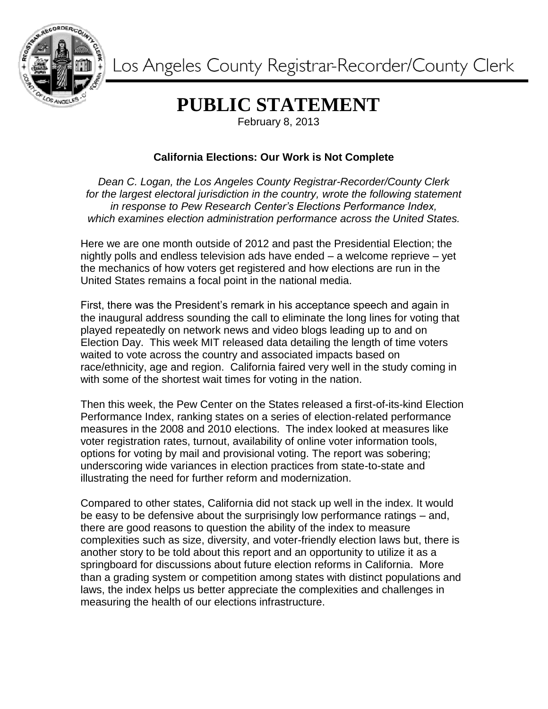

Los Angeles County Registrar-Recorder/County Clerk

## **PUBLIC STATEMENT**

February 8, 2013

## **California Elections: Our Work is Not Complete**

*Dean C. Logan, the Los Angeles County Registrar-Recorder/County Clerk for the largest electoral jurisdiction in the country, wrote the following statement in response to Pew Research Center's Elections Performance Index, which examines election administration performance across the United States.*

Here we are one month outside of 2012 and past the Presidential Election; the nightly polls and endless television ads have ended – a welcome reprieve – yet the mechanics of how voters get registered and how elections are run in the United States remains a focal point in the national media.

First, there was the President's remark in his acceptance speech and again in the inaugural address sounding the call to eliminate the long lines for voting that played repeatedly on network news and video blogs leading up to and on Election Day. This week MIT released data detailing the length of time voters waited to vote across the country and associated impacts based on race/ethnicity, age and region. California faired very well in the study coming in with some of the shortest wait times for voting in the nation.

Then this week, the Pew Center on the States released a first-of-its-kind Election Performance Index, ranking states on a series of election-related performance measures in the 2008 and 2010 elections. The index looked at measures like voter registration rates, turnout, availability of online voter information tools, options for voting by mail and provisional voting. The report was sobering; underscoring wide variances in election practices from state-to-state and illustrating the need for further reform and modernization.

Compared to other states, California did not stack up well in the index. It would be easy to be defensive about the surprisingly low performance ratings – and, there are good reasons to question the ability of the index to measure complexities such as size, diversity, and voter-friendly election laws but, there is another story to be told about this report and an opportunity to utilize it as a springboard for discussions about future election reforms in California. More than a grading system or competition among states with distinct populations and laws, the index helps us better appreciate the complexities and challenges in measuring the health of our elections infrastructure.